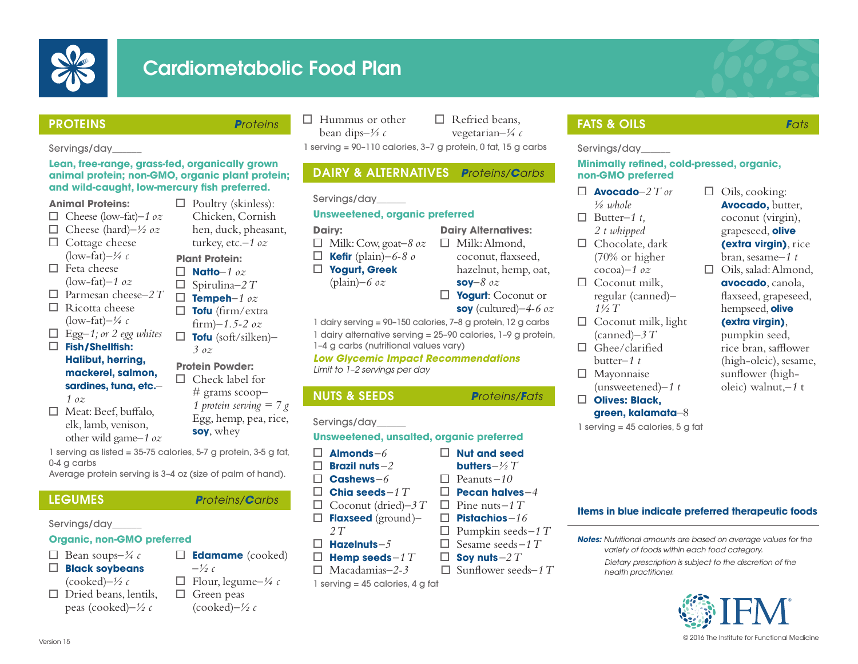

# Cardiometabolic Food Plan

## PROTEINS *Proteins*

 $\Box$  Poultry (skinless): Chicken, Cornish hen, duck, pheasant, turkey, etc.*–1 oz*

**Plant Protein: Natto***–1 oz* Spirulina*–2 T* **Tempeh***–1 oz* **Tofu** (firm/extra firm)*–1.5-2 oz* **Tofu** (soft/silken)*–*

*3 oz* **Protein Powder:**

Servings/day\_\_\_\_\_\_

### **Lean, free-range, grass-fed, organically grown animal protein; non-GMO, organic plant protein; and wild-caught, low-mercury fish preferred.**

#### **Animal Proteins:**

- Cheese (low-fat)*–1 oz*
- Cheese (hard)*–½ oz*
- $\Box$  Cottage cheese (low-fat) $-\frac{1}{4}c$
- $\Box$  Feta cheese
- (low-fat)*–1 oz* Parmesan cheese*–2 T*
- $\Box$  Ricotta cheese (low-fat)*–¼ c*
- Egg*–1; or 2 egg whites*
- **Fish/Shellfish: Halibut, herring,** 
	- **mackerel, salmon, sardines, tuna, etc.**– *1 oz*
- $\Box$  Meat: Beef, buffalo, elk, lamb, venison, other wild game*–1 oz*  $\Box$  Check label for

1 serving as listed = 35-75 calories, 5-7 g protein, 3-5 g fat, 0-4 g carbs

Average protein serving is 3–4 oz (size of palm of hand).

## LEGUMES *Proteins/Carbs*

Servings/day\_\_\_\_\_\_

## **Organic, non-GMO preferred**

- $\Box$  Bean soups– $\frac{3}{4}c$
- **Black soybeans**
- (cooked)*–½ c*
- $\Box$  Dried beans, lentils, peas (cooked)*–½ c*
- $\Box$  Green peas (cooked)*–½ c*

#### $\Box$  Hummus or other bean dips*–⅓ c*

 $\Box$  Refried beans, vegetarian*–¼ c*

1 serving = 90–110 calories, 3–7 g protein, 0 fat, 15 g carbs

## DAIRY & ALTERNATIVES *Proteins/Carbs*

Servings/day\_\_\_\_\_\_

### **Unsweetened, organic preferred**

- **Dairy:**
- Milk: Cow, goat*–8 oz*
- □ **Kefir** (plain)*–6-8 o* **Yogurt, Greek** 
	- (plain)*–6 oz*
- hazelnut, hemp, oat, **soy***–8 oz* **Yogurt**: Coconut or

**Dairy Alternatives:**  $\Box$  Milk: Almond, coconut, flaxseed,

**Nut and seed butters***–½ T* Peanuts *–10* **Pecan halves***–4* Pine nuts*–1 T* **Pistachios** *–16*  $\Box$  Pumpkin seeds-1 T Sesame seeds*–1 T*  $\Box$  **Sov nuts** – 2  $T$  $\Box$  Sunflower seeds–1 T

- **soy** (cultured)*–4-6 oz*
- 1 dairy serving = 90–150 calories, 7–8 g protein, 12 g carbs 1 dairy alternative serving = 25–90 calories, 1–9 g protein,

1–4 g carbs (nutritional values vary)

#### *Low Glycemic Impact Recommendations Limit to 1–2 servings per day*

## NUTS & SEEDS *Proteins/Fats*

Servings/day\_\_\_\_\_\_

### **Unsweetened, unsalted, organic preferred**

- $\Box$ **Almonds***–6* П. **Brazil nuts** *–2*  $\Box$ **Cashews** *–6*
- **Chia seeds** *–1 T*
- Coconut (dried)*–3 T*
- **Flaxseed** (ground)*– 2 T*
- **Hazelnuts***–5*
- $\Box$ **Hemp seeds***–1 T*
- Macadamias*–2-3*
- $1$  serving = 45 calories, 4 g fat

## FATS & OILS *Fats*

Servings/day\_\_\_\_\_\_

#### **Minimally refined, cold-pressed, organic, non-GMO preferred**

- $\Box$  **Avocado**– $2$  T or
- *⅛ whole*  $\Box$  Butter-1 t.
- *2 t whipped*
- $\Box$  Chocolate, dark (70% or higher cocoa)–*1 oz*
- $\Box$  Coconut milk. regular (canned)*– 1½ T*
- $\Box$  Coconut milk, light (canned)*–3 T*
- $\Box$  Ghee/clarified butter*–1 t*
- Mayonnaise
- (unsweetened)*–1 t*

#### **Olives: Black, green, kalamata**–8

1 serving = 45 calories, 5 g fat

## $\Box$  Oils, cooking: **Avocado,** butter, coconut (virgin), grapeseed, **olive (extra virgin)**, rice bran, sesame*–1 t*

 $\Box$  Oils, salad: Almond, **avocado**, canola, flaxseed, grapeseed, hempseed, **olive** 

## **(extra virgin)**,

pumpkin seed, rice bran, safflower (high-oleic), sesame, sunflower (higholeic) walnut,*–1* t

## **Items in blue indicate preferred therapeutic foods**

- *Notes: Nutritional amounts are based on average values for the variety of foods within each food category.*
	- *Dietary prescription is subject to the discretion of the health practitioner.*



**Edamame** (cooked)  $-\frac{1}{2}c$ 

# grams scoop*– 1 protein serving = 7 g* Egg, hemp, pea, rice,

**soy**, whey

- Flour, legume*–¼ c*
-